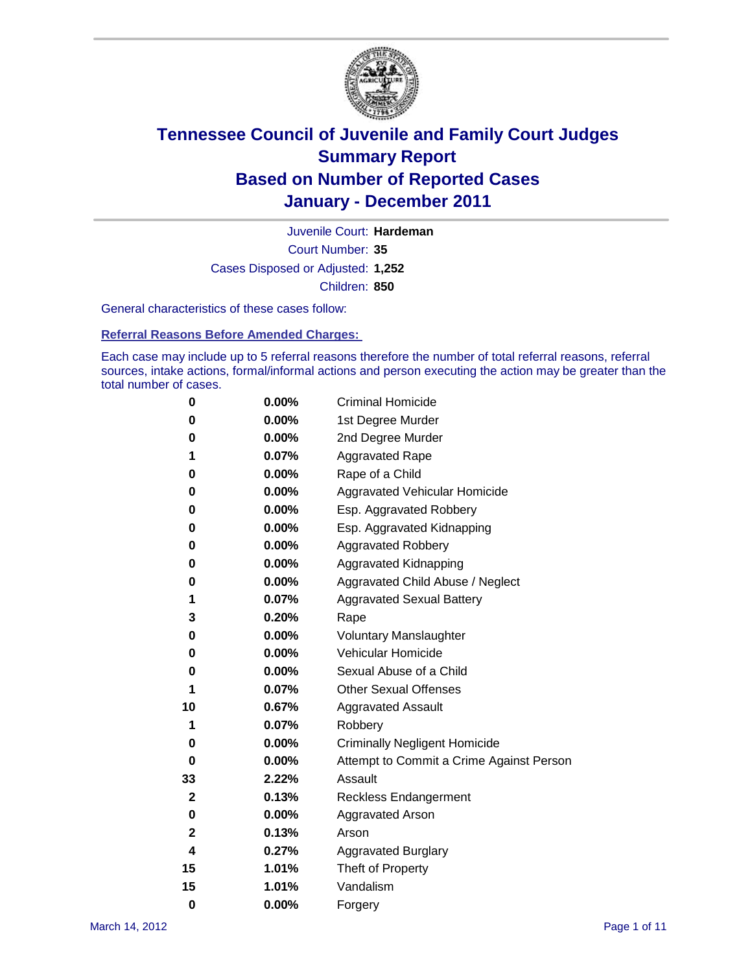

Court Number: **35** Juvenile Court: **Hardeman** Cases Disposed or Adjusted: **1,252** Children: **850**

General characteristics of these cases follow:

**Referral Reasons Before Amended Charges:** 

Each case may include up to 5 referral reasons therefore the number of total referral reasons, referral sources, intake actions, formal/informal actions and person executing the action may be greater than the total number of cases.

| 0  | 0.00% | <b>Criminal Homicide</b>                 |
|----|-------|------------------------------------------|
| 0  | 0.00% | 1st Degree Murder                        |
| 0  | 0.00% | 2nd Degree Murder                        |
| 1  | 0.07% | <b>Aggravated Rape</b>                   |
| 0  | 0.00% | Rape of a Child                          |
| 0  | 0.00% | Aggravated Vehicular Homicide            |
| 0  | 0.00% | Esp. Aggravated Robbery                  |
| 0  | 0.00% | Esp. Aggravated Kidnapping               |
| 0  | 0.00% | <b>Aggravated Robbery</b>                |
| 0  | 0.00% | Aggravated Kidnapping                    |
| 0  | 0.00% | Aggravated Child Abuse / Neglect         |
| 1  | 0.07% | <b>Aggravated Sexual Battery</b>         |
| 3  | 0.20% | Rape                                     |
| 0  | 0.00% | <b>Voluntary Manslaughter</b>            |
| 0  | 0.00% | Vehicular Homicide                       |
| 0  | 0.00% | Sexual Abuse of a Child                  |
| 1  | 0.07% | <b>Other Sexual Offenses</b>             |
| 10 | 0.67% | <b>Aggravated Assault</b>                |
| 1  | 0.07% | Robbery                                  |
| 0  | 0.00% | <b>Criminally Negligent Homicide</b>     |
| 0  | 0.00% | Attempt to Commit a Crime Against Person |
| 33 | 2.22% | Assault                                  |
| 2  | 0.13% | <b>Reckless Endangerment</b>             |
| 0  | 0.00% | <b>Aggravated Arson</b>                  |
| 2  | 0.13% | Arson                                    |
| 4  | 0.27% | <b>Aggravated Burglary</b>               |
| 15 | 1.01% | Theft of Property                        |
| 15 | 1.01% | Vandalism                                |
| 0  | 0.00% | Forgery                                  |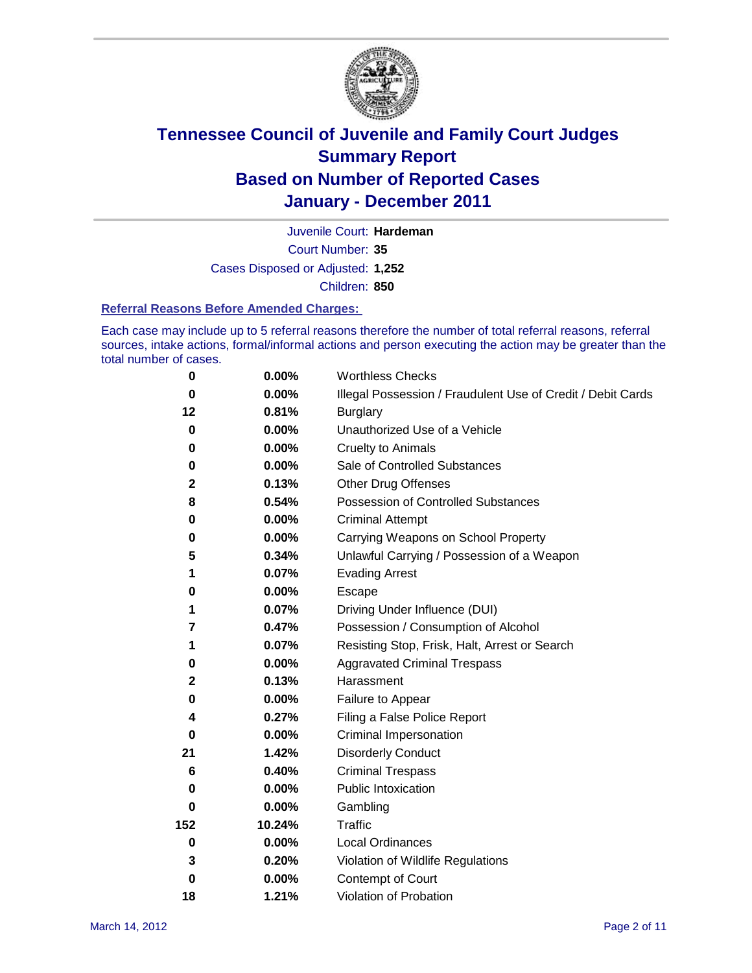

Court Number: **35** Juvenile Court: **Hardeman** Cases Disposed or Adjusted: **1,252** Children: **850**

#### **Referral Reasons Before Amended Charges:**

Each case may include up to 5 referral reasons therefore the number of total referral reasons, referral sources, intake actions, formal/informal actions and person executing the action may be greater than the total number of cases.

| $\pmb{0}$   | 0.00%    | <b>Worthless Checks</b>                                     |
|-------------|----------|-------------------------------------------------------------|
| $\bf{0}$    | 0.00%    | Illegal Possession / Fraudulent Use of Credit / Debit Cards |
| 12          | 0.81%    | <b>Burglary</b>                                             |
| $\bf{0}$    | 0.00%    | Unauthorized Use of a Vehicle                               |
| 0           | $0.00\%$ | <b>Cruelty to Animals</b>                                   |
| 0           | 0.00%    | Sale of Controlled Substances                               |
| 2           | 0.13%    | <b>Other Drug Offenses</b>                                  |
| 8           | 0.54%    | Possession of Controlled Substances                         |
| 0           | $0.00\%$ | <b>Criminal Attempt</b>                                     |
| 0           | 0.00%    | Carrying Weapons on School Property                         |
| 5           | 0.34%    | Unlawful Carrying / Possession of a Weapon                  |
| 1           | 0.07%    | <b>Evading Arrest</b>                                       |
| 0           | 0.00%    | Escape                                                      |
| 1           | 0.07%    | Driving Under Influence (DUI)                               |
| 7           | 0.47%    | Possession / Consumption of Alcohol                         |
| 1           | 0.07%    | Resisting Stop, Frisk, Halt, Arrest or Search               |
| 0           | $0.00\%$ | <b>Aggravated Criminal Trespass</b>                         |
| 2           | 0.13%    | Harassment                                                  |
| 0           | 0.00%    | Failure to Appear                                           |
| 4           | 0.27%    | Filing a False Police Report                                |
| $\bf{0}$    | 0.00%    | Criminal Impersonation                                      |
| 21          | 1.42%    | <b>Disorderly Conduct</b>                                   |
| 6           | 0.40%    | <b>Criminal Trespass</b>                                    |
| $\bf{0}$    | 0.00%    | <b>Public Intoxication</b>                                  |
| 0           | $0.00\%$ | Gambling                                                    |
| 152         | 10.24%   | Traffic                                                     |
| $\mathbf 0$ | $0.00\%$ | <b>Local Ordinances</b>                                     |
| 3           | 0.20%    | Violation of Wildlife Regulations                           |
| $\bf{0}$    | $0.00\%$ | Contempt of Court                                           |
| 18          | 1.21%    | Violation of Probation                                      |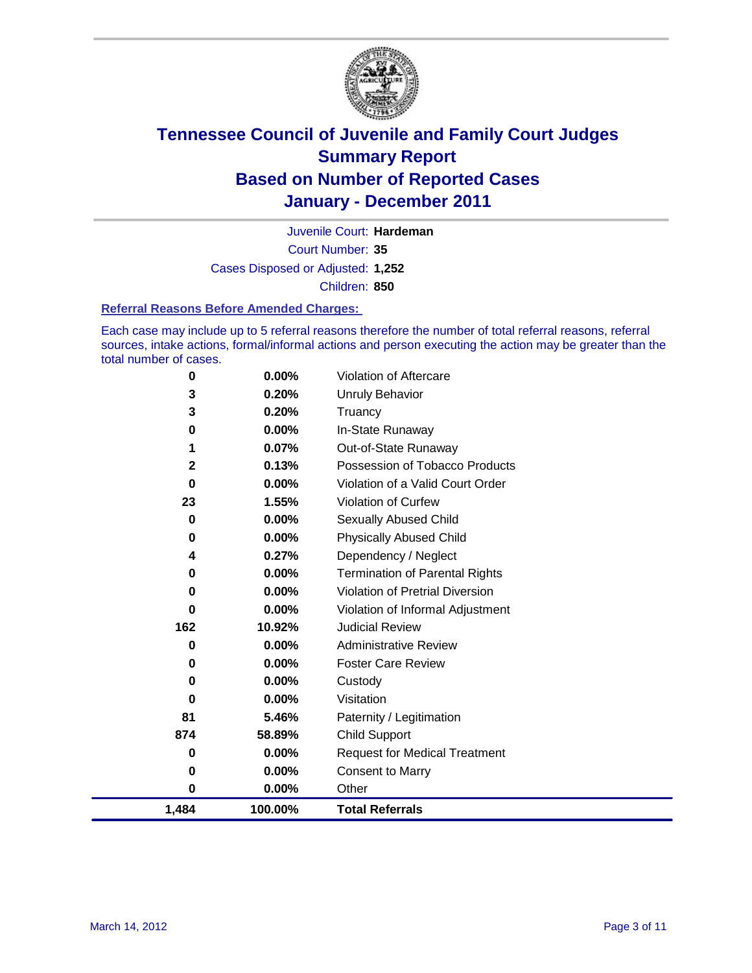

Court Number: **35** Juvenile Court: **Hardeman** Cases Disposed or Adjusted: **1,252** Children: **850**

#### **Referral Reasons Before Amended Charges:**

Each case may include up to 5 referral reasons therefore the number of total referral reasons, referral sources, intake actions, formal/informal actions and person executing the action may be greater than the total number of cases.

| 1,484        | 100.00%        | <b>Total Referrals</b>                 |
|--------------|----------------|----------------------------------------|
| 0            | 0.00%          | Other                                  |
| 0            | 0.00%          | <b>Consent to Marry</b>                |
| 0            | 0.00%          | <b>Request for Medical Treatment</b>   |
| 874          | 58.89%         | <b>Child Support</b>                   |
| 81           | 5.46%          | Paternity / Legitimation               |
| 0            | 0.00%          | Visitation                             |
| 0            | 0.00%          | Custody                                |
| 0            | 0.00%          | <b>Foster Care Review</b>              |
| 0            | 0.00%          | <b>Administrative Review</b>           |
| 162          | 10.92%         | <b>Judicial Review</b>                 |
| 0            | 0.00%          | Violation of Informal Adjustment       |
| 0            | 0.00%          | <b>Violation of Pretrial Diversion</b> |
| 0            | 0.00%          | <b>Termination of Parental Rights</b>  |
| 4            | 0.27%          | Dependency / Neglect                   |
| 0            | 0.00%          | <b>Physically Abused Child</b>         |
| 0            | 0.00%          | <b>Sexually Abused Child</b>           |
| 23           | 1.55%          | <b>Violation of Curfew</b>             |
| $\bf{0}$     | $0.00\%$       | Violation of a Valid Court Order       |
| $\mathbf{2}$ | 0.13%          | Possession of Tobacco Products         |
| 1            | 0.07%          | Out-of-State Runaway                   |
| 0            | 0.00%          | In-State Runaway                       |
| 3<br>3       | 0.20%<br>0.20% | Unruly Behavior<br>Truancy             |
| 0            | 0.00%          | Violation of Aftercare                 |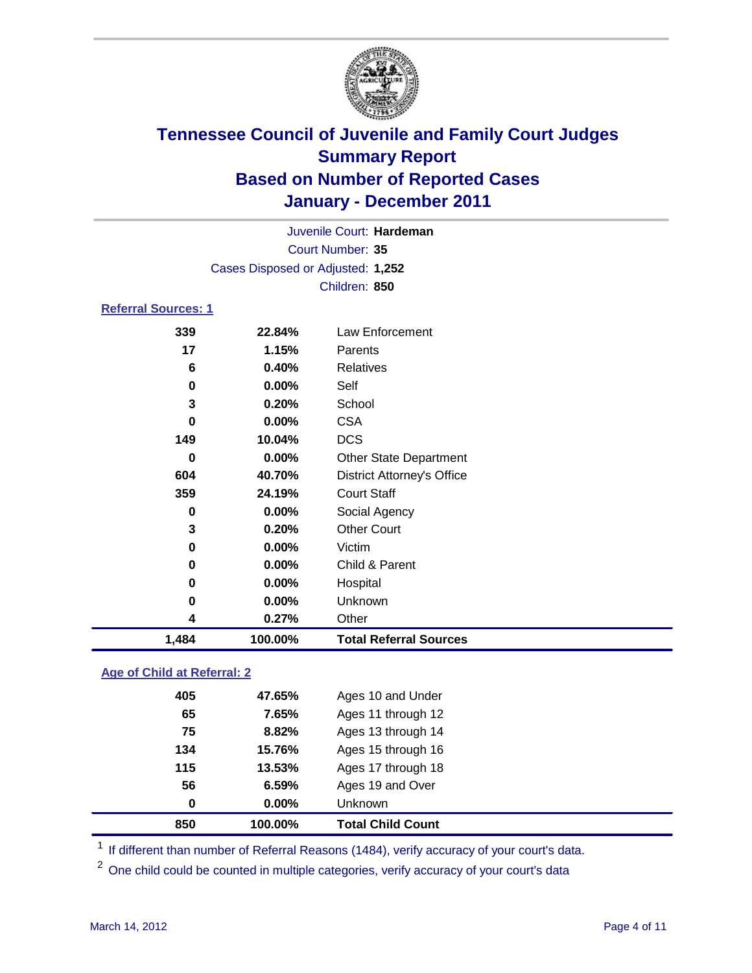

|                            |                                   | Juvenile Court: Hardeman |  |
|----------------------------|-----------------------------------|--------------------------|--|
|                            |                                   | Court Number: 35         |  |
|                            | Cases Disposed or Adjusted: 1,252 |                          |  |
|                            |                                   | Children: 850            |  |
| <b>Referral Sources: 1</b> |                                   |                          |  |
| 339                        | 22.84%                            | Law Enforcement          |  |
| 17                         | 1.15%                             | Parents                  |  |
| 6                          | 0.40%                             | Relatives                |  |
| 0                          | $0.00\%$                          | Self                     |  |
| 3                          | 0.20%                             | School                   |  |
| 0                          | $0.00\%$                          | CSA                      |  |

| 1,484    | 100.00%  | <b>Total Referral Sources</b>     |
|----------|----------|-----------------------------------|
| 4        | 0.27%    | Other                             |
| 0        | 0.00%    | Unknown                           |
| $\bf{0}$ | 0.00%    | Hospital                          |
| 0        | $0.00\%$ | Child & Parent                    |
| 0        | 0.00%    | Victim                            |
| 3        | 0.20%    | <b>Other Court</b>                |
| 0        | 0.00%    | Social Agency                     |
| 359      | 24.19%   | <b>Court Staff</b>                |
| 604      | 40.70%   | <b>District Attorney's Office</b> |
| $\bf{0}$ | $0.00\%$ | <b>Other State Department</b>     |
| 149      | 10.04%   | <b>DCS</b>                        |
| 0        | $0.00\%$ | <b>CSA</b>                        |
| 3        | 0.20%    | School                            |
| 0        | $0.00\%$ | Self                              |
|          |          |                                   |

### **Age of Child at Referral: 2**

| 850 | 100.00% | <b>Total Child Count</b> |
|-----|---------|--------------------------|
| 0   | 0.00%   | <b>Unknown</b>           |
| 56  | 6.59%   | Ages 19 and Over         |
| 115 | 13.53%  | Ages 17 through 18       |
| 134 | 15.76%  | Ages 15 through 16       |
| 75  | 8.82%   | Ages 13 through 14       |
| 65  | 7.65%   | Ages 11 through 12       |
| 405 | 47.65%  | Ages 10 and Under        |
|     |         |                          |

<sup>1</sup> If different than number of Referral Reasons (1484), verify accuracy of your court's data.

One child could be counted in multiple categories, verify accuracy of your court's data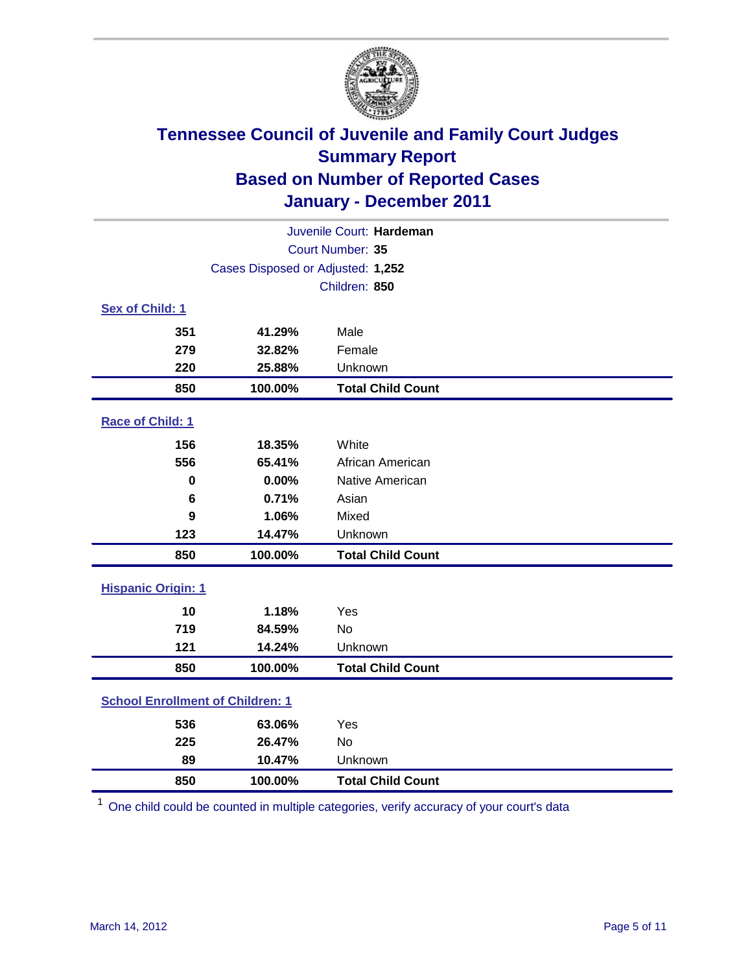

| Juvenile Court: Hardeman                |                                   |                          |  |  |  |
|-----------------------------------------|-----------------------------------|--------------------------|--|--|--|
| Court Number: 35                        |                                   |                          |  |  |  |
|                                         | Cases Disposed or Adjusted: 1,252 |                          |  |  |  |
|                                         |                                   | Children: 850            |  |  |  |
| Sex of Child: 1                         |                                   |                          |  |  |  |
| 351                                     | 41.29%                            | Male                     |  |  |  |
| 279                                     | 32.82%                            | Female                   |  |  |  |
| 220                                     | 25.88%                            | Unknown                  |  |  |  |
| 850                                     | 100.00%                           | <b>Total Child Count</b> |  |  |  |
| Race of Child: 1                        |                                   |                          |  |  |  |
| 156                                     | 18.35%                            | White                    |  |  |  |
| 556                                     | 65.41%                            | African American         |  |  |  |
| $\mathbf 0$                             | 0.00%                             | Native American          |  |  |  |
| 6                                       | 0.71%                             | Asian                    |  |  |  |
| 9                                       | 1.06%                             | Mixed                    |  |  |  |
| 123                                     | 14.47%                            | Unknown                  |  |  |  |
| 850                                     | 100.00%                           | <b>Total Child Count</b> |  |  |  |
| <b>Hispanic Origin: 1</b>               |                                   |                          |  |  |  |
| 10                                      | 1.18%                             | Yes                      |  |  |  |
| 719                                     | 84.59%                            | No                       |  |  |  |
| 121                                     | 14.24%                            | Unknown                  |  |  |  |
| 850                                     | 100.00%                           | <b>Total Child Count</b> |  |  |  |
| <b>School Enrollment of Children: 1</b> |                                   |                          |  |  |  |
| 536                                     | 63.06%                            | Yes                      |  |  |  |
| 225                                     | 26.47%                            | <b>No</b>                |  |  |  |
| 89                                      | 10.47%                            | Unknown                  |  |  |  |
| 850                                     | 100.00%                           | <b>Total Child Count</b> |  |  |  |

One child could be counted in multiple categories, verify accuracy of your court's data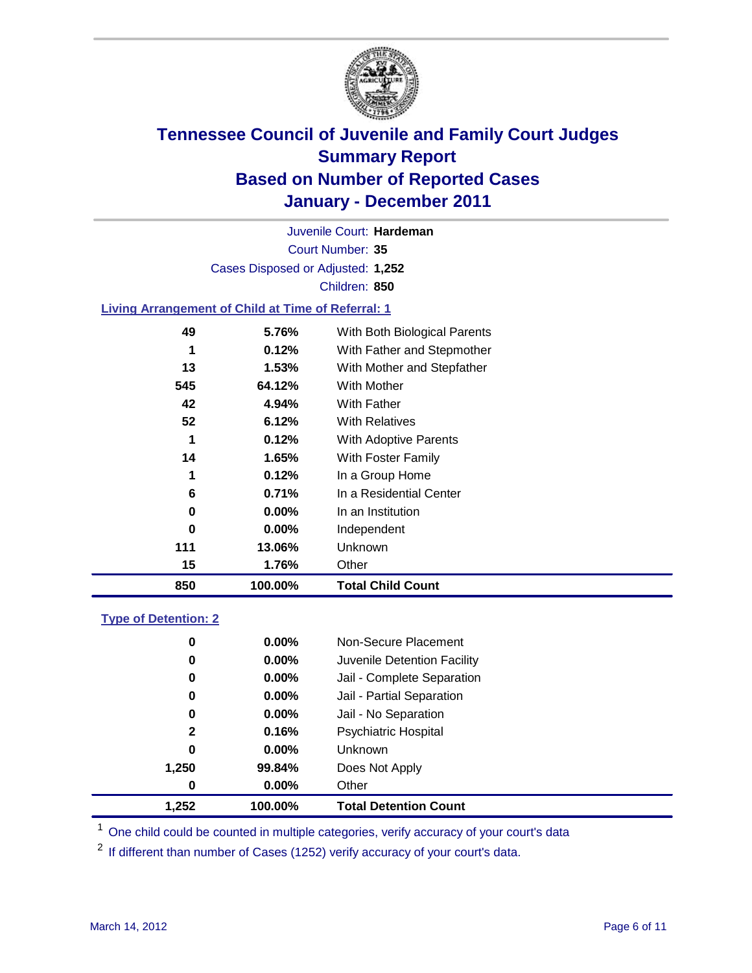

Court Number: **35** Juvenile Court: **Hardeman** Cases Disposed or Adjusted: **1,252** Children: **850**

### **Living Arrangement of Child at Time of Referral: 1**

| 850 | 100.00%  | <b>Total Child Count</b>     |
|-----|----------|------------------------------|
| 15  | 1.76%    | Other                        |
| 111 | 13.06%   | Unknown                      |
| 0   | $0.00\%$ | Independent                  |
| 0   | $0.00\%$ | In an Institution            |
| 6   | 0.71%    | In a Residential Center      |
| 1   | 0.12%    | In a Group Home              |
| 14  | 1.65%    | With Foster Family           |
| 1   | 0.12%    | With Adoptive Parents        |
| 52  | 6.12%    | <b>With Relatives</b>        |
| 42  | 4.94%    | With Father                  |
| 545 | 64.12%   | <b>With Mother</b>           |
| 13  | 1.53%    | With Mother and Stepfather   |
| 1   | 0.12%    | With Father and Stepmother   |
| 49  | 5.76%    | With Both Biological Parents |
|     |          |                              |

### **Type of Detention: 2**

| 1.252        | 100.00%  | <b>Total Detention Count</b> |  |
|--------------|----------|------------------------------|--|
| $\bf{0}$     | $0.00\%$ | Other                        |  |
| 1,250        | 99.84%   | Does Not Apply               |  |
| 0            | $0.00\%$ | <b>Unknown</b>               |  |
| $\mathbf{2}$ | 0.16%    | <b>Psychiatric Hospital</b>  |  |
| 0            | 0.00%    | Jail - No Separation         |  |
| 0            | $0.00\%$ | Jail - Partial Separation    |  |
| 0            | $0.00\%$ | Jail - Complete Separation   |  |
| 0            | 0.00%    | Juvenile Detention Facility  |  |
| 0            | $0.00\%$ | Non-Secure Placement         |  |
|              |          |                              |  |

<sup>1</sup> One child could be counted in multiple categories, verify accuracy of your court's data

<sup>2</sup> If different than number of Cases (1252) verify accuracy of your court's data.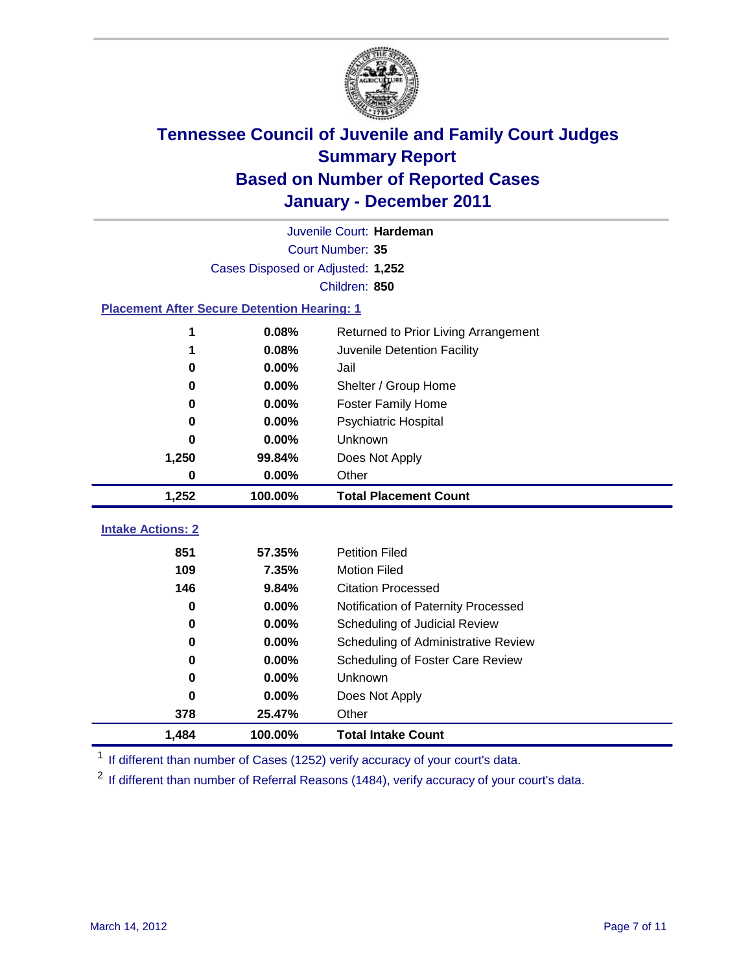

|                                                    |                                   | Juvenile Court: Hardeman             |  |  |
|----------------------------------------------------|-----------------------------------|--------------------------------------|--|--|
| Court Number: 35                                   |                                   |                                      |  |  |
|                                                    | Cases Disposed or Adjusted: 1,252 |                                      |  |  |
|                                                    |                                   | Children: 850                        |  |  |
| <b>Placement After Secure Detention Hearing: 1</b> |                                   |                                      |  |  |
| 1                                                  | 0.08%                             | Returned to Prior Living Arrangement |  |  |
| 1                                                  | 0.08%                             | Juvenile Detention Facility          |  |  |
| 0                                                  | 0.00%                             | Jail                                 |  |  |
| 0                                                  | 0.00%                             | Shelter / Group Home                 |  |  |
| 0                                                  | 0.00%                             | Foster Family Home                   |  |  |
| $\bf{0}$                                           | 0.00%                             | <b>Psychiatric Hospital</b>          |  |  |
| 0                                                  | 0.00%                             | <b>Unknown</b>                       |  |  |
| 1,250                                              | 99.84%                            | Does Not Apply                       |  |  |
| $\mathbf 0$                                        | 0.00%                             | Other                                |  |  |
| 1,252                                              | 100.00%                           | <b>Total Placement Count</b>         |  |  |
|                                                    |                                   |                                      |  |  |
| <b>Intake Actions: 2</b>                           |                                   |                                      |  |  |
| 851                                                | 57.35%                            | <b>Petition Filed</b>                |  |  |
| 109                                                | 7.35%                             | <b>Motion Filed</b>                  |  |  |
| 146                                                | 9.84%                             | <b>Citation Processed</b>            |  |  |
| 0                                                  | 0.00%                             | Notification of Paternity Processed  |  |  |
| 0                                                  | 0.00%                             | Scheduling of Judicial Review        |  |  |
| $\bf{0}$                                           | 0.00%                             | Scheduling of Administrative Review  |  |  |
| $\bf{0}$                                           | 0.00%                             | Scheduling of Foster Care Review     |  |  |
| $\bf{0}$                                           | 0.00%                             | Unknown                              |  |  |
| $\bf{0}$                                           | 0.00%                             | Does Not Apply                       |  |  |
| 378                                                | 25.47%                            | Other                                |  |  |
| 1,484                                              | 100.00%                           | <b>Total Intake Count</b>            |  |  |

<sup>1</sup> If different than number of Cases (1252) verify accuracy of your court's data.

<sup>2</sup> If different than number of Referral Reasons (1484), verify accuracy of your court's data.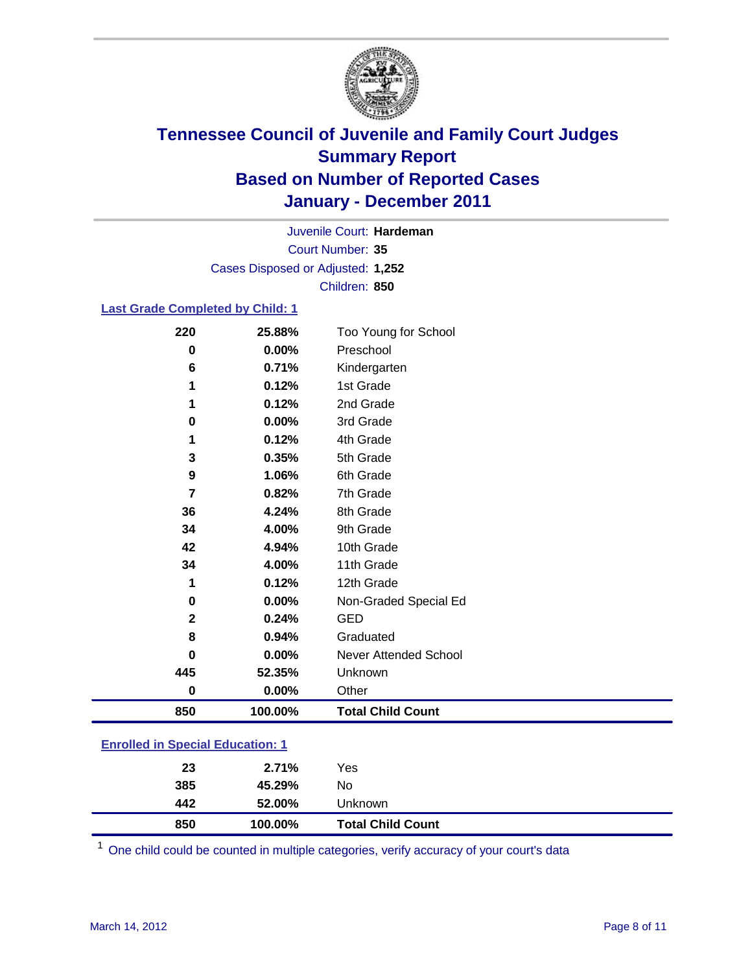

Court Number: **35** Juvenile Court: **Hardeman** Cases Disposed or Adjusted: **1,252** Children: **850**

### **Last Grade Completed by Child: 1**

| 220                                     | 25.88%   | Too Young for School         |  |  |
|-----------------------------------------|----------|------------------------------|--|--|
| 0                                       | 0.00%    | Preschool                    |  |  |
| 6                                       | 0.71%    | Kindergarten                 |  |  |
| 1                                       | 0.12%    | 1st Grade                    |  |  |
| 1                                       | 0.12%    | 2nd Grade                    |  |  |
| 0                                       | 0.00%    | 3rd Grade                    |  |  |
| 1                                       | 0.12%    | 4th Grade                    |  |  |
| 3                                       | 0.35%    | 5th Grade                    |  |  |
| 9                                       | 1.06%    | 6th Grade                    |  |  |
| 7                                       | 0.82%    | 7th Grade                    |  |  |
| 36                                      | 4.24%    | 8th Grade                    |  |  |
| 34                                      | 4.00%    | 9th Grade                    |  |  |
| 42                                      | 4.94%    | 10th Grade                   |  |  |
| 34                                      | 4.00%    | 11th Grade                   |  |  |
| 1                                       | 0.12%    | 12th Grade                   |  |  |
| 0                                       | 0.00%    | Non-Graded Special Ed        |  |  |
| 2                                       | 0.24%    | <b>GED</b>                   |  |  |
| 8                                       | 0.94%    | Graduated                    |  |  |
| 0                                       | 0.00%    | <b>Never Attended School</b> |  |  |
| 445                                     | 52.35%   | Unknown                      |  |  |
| $\bf{0}$                                | $0.00\%$ | Other                        |  |  |
| 850                                     | 100.00%  | <b>Total Child Count</b>     |  |  |
| <b>Enrolled in Special Education: 1</b> |          |                              |  |  |

| 850 | 100.00% | <b>Total Child Count</b> |  |
|-----|---------|--------------------------|--|
| 442 | 52.00%  | Unknown                  |  |
| 385 | 45.29%  | No                       |  |
| 23  | 2.71%   | Yes                      |  |
|     |         |                          |  |

One child could be counted in multiple categories, verify accuracy of your court's data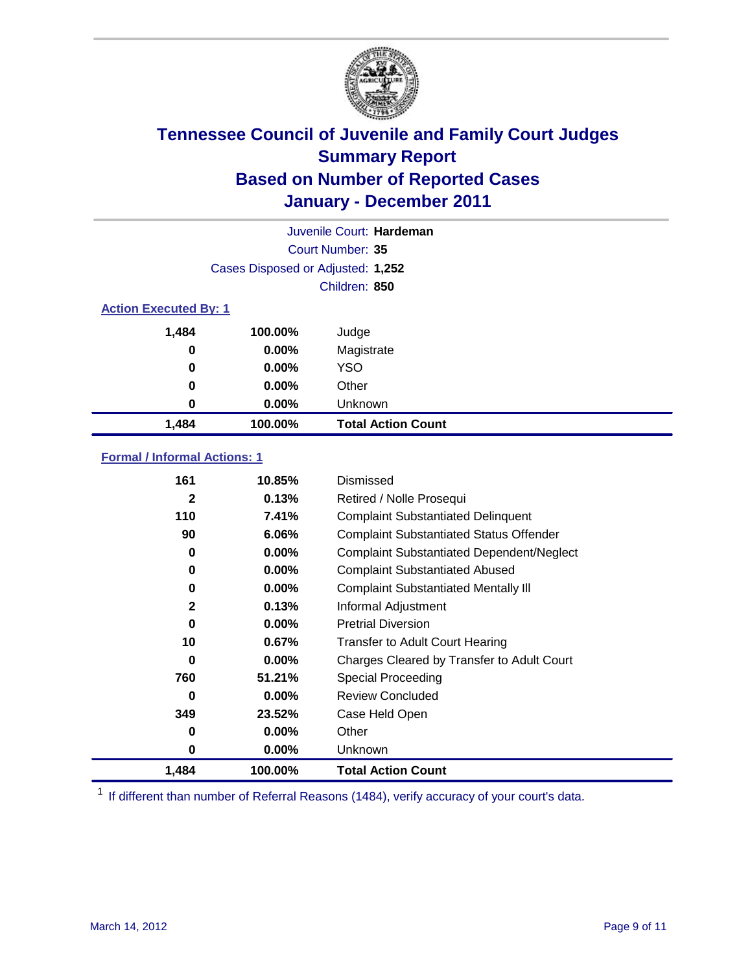

|                              |                                   | Juvenile Court: Hardeman  |
|------------------------------|-----------------------------------|---------------------------|
|                              |                                   | Court Number: 35          |
|                              | Cases Disposed or Adjusted: 1,252 |                           |
|                              |                                   | Children: 850             |
| <b>Action Executed By: 1</b> |                                   |                           |
| 1,484                        | 100.00%                           | Judge                     |
| 0                            | $0.00\%$                          | Magistrate                |
| 0                            | $0.00\%$                          | <b>YSO</b>                |
| 0                            | $0.00\%$                          | Other                     |
| 0                            | 0.00%                             | Unknown                   |
| 1,484                        | 100.00%                           | <b>Total Action Count</b> |

### **Formal / Informal Actions: 1**

| 161          | 10.85%   | Dismissed                                        |
|--------------|----------|--------------------------------------------------|
| $\mathbf{2}$ | 0.13%    | Retired / Nolle Prosequi                         |
| 110          | 7.41%    | <b>Complaint Substantiated Delinquent</b>        |
| 90           | 6.06%    | <b>Complaint Substantiated Status Offender</b>   |
| 0            | $0.00\%$ | <b>Complaint Substantiated Dependent/Neglect</b> |
| 0            | $0.00\%$ | <b>Complaint Substantiated Abused</b>            |
| 0            | $0.00\%$ | <b>Complaint Substantiated Mentally III</b>      |
| $\mathbf{2}$ | 0.13%    | Informal Adjustment                              |
| 0            | $0.00\%$ | <b>Pretrial Diversion</b>                        |
| 10           | 0.67%    | <b>Transfer to Adult Court Hearing</b>           |
| 0            | $0.00\%$ | Charges Cleared by Transfer to Adult Court       |
| 760          | 51.21%   | <b>Special Proceeding</b>                        |
| 0            | $0.00\%$ | <b>Review Concluded</b>                          |
| 349          | 23.52%   | Case Held Open                                   |
| 0            | $0.00\%$ | Other                                            |
| 0            | $0.00\%$ | Unknown                                          |
| 1,484        | 100.00%  | <b>Total Action Count</b>                        |

<sup>1</sup> If different than number of Referral Reasons (1484), verify accuracy of your court's data.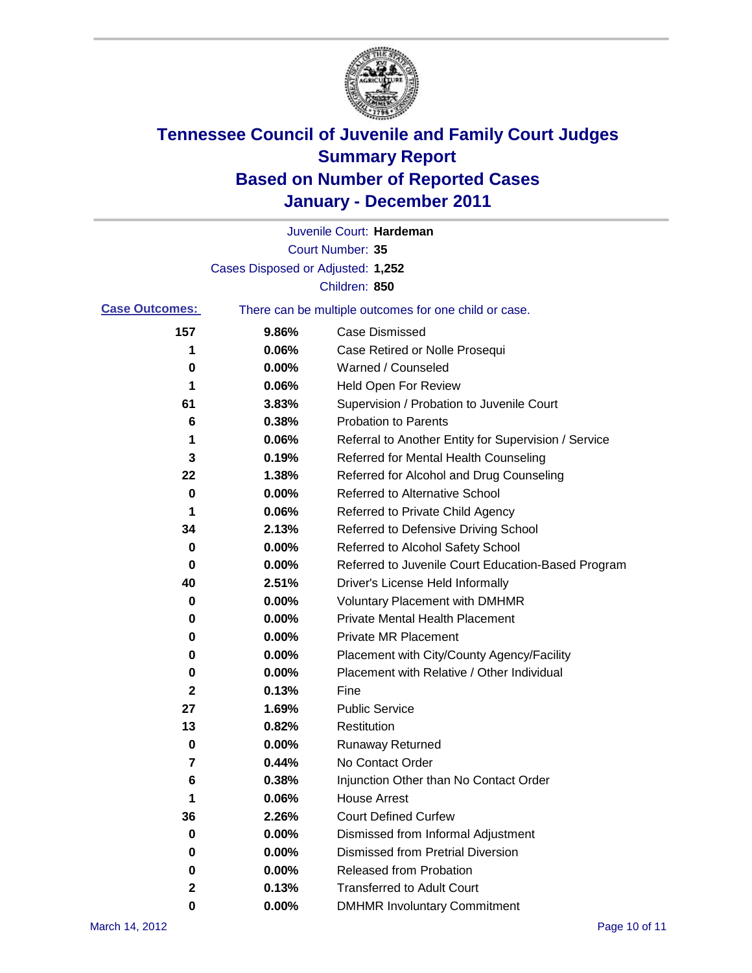

|                       |                                   | Juvenile Court: Hardeman                              |
|-----------------------|-----------------------------------|-------------------------------------------------------|
|                       |                                   | Court Number: 35                                      |
|                       | Cases Disposed or Adjusted: 1,252 |                                                       |
|                       |                                   | Children: 850                                         |
| <b>Case Outcomes:</b> |                                   | There can be multiple outcomes for one child or case. |
| 157                   | 9.86%                             | <b>Case Dismissed</b>                                 |
| 1                     | 0.06%                             | Case Retired or Nolle Prosequi                        |
| 0                     | 0.00%                             | Warned / Counseled                                    |
| 1                     | 0.06%                             | <b>Held Open For Review</b>                           |
| 61                    | 3.83%                             | Supervision / Probation to Juvenile Court             |
| 6                     | 0.38%                             | <b>Probation to Parents</b>                           |
| 1                     | 0.06%                             | Referral to Another Entity for Supervision / Service  |
| 3                     | 0.19%                             | Referred for Mental Health Counseling                 |
| 22                    | 1.38%                             | Referred for Alcohol and Drug Counseling              |
| 0                     | 0.00%                             | <b>Referred to Alternative School</b>                 |
| 1                     | 0.06%                             | Referred to Private Child Agency                      |
| 34                    | 2.13%                             | Referred to Defensive Driving School                  |
| 0                     | 0.00%                             | Referred to Alcohol Safety School                     |
| 0                     | 0.00%                             | Referred to Juvenile Court Education-Based Program    |
| 40                    | 2.51%                             | Driver's License Held Informally                      |
| 0                     | 0.00%                             | <b>Voluntary Placement with DMHMR</b>                 |
| 0                     | 0.00%                             | <b>Private Mental Health Placement</b>                |
| 0                     | 0.00%                             | <b>Private MR Placement</b>                           |
| 0                     | 0.00%                             | Placement with City/County Agency/Facility            |
| 0                     | 0.00%                             | Placement with Relative / Other Individual            |
| 2                     | 0.13%                             | Fine                                                  |
| 27                    | 1.69%                             | <b>Public Service</b>                                 |
| 13                    | 0.82%                             | Restitution                                           |
| 0                     | 0.00%                             | <b>Runaway Returned</b>                               |
| 7                     | 0.44%                             | No Contact Order                                      |
| 6                     | 0.38%                             | Injunction Other than No Contact Order                |
| 1                     | 0.06%                             | <b>House Arrest</b>                                   |
| 36                    | 2.26%                             | <b>Court Defined Curfew</b>                           |
| 0                     | 0.00%                             | Dismissed from Informal Adjustment                    |
| 0                     | 0.00%                             | <b>Dismissed from Pretrial Diversion</b>              |
| 0                     | 0.00%                             | Released from Probation                               |
| 2                     | 0.13%                             | <b>Transferred to Adult Court</b>                     |
| 0                     | $0.00\%$                          | <b>DMHMR Involuntary Commitment</b>                   |